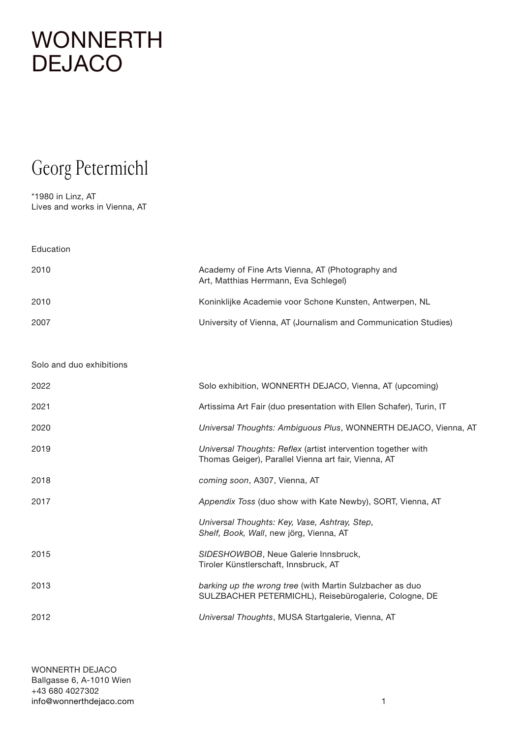#### Georg Petermichl

\*1980 in Linz, AT Lives and works in Vienna, AT

| Education                |                                                                                                                       |
|--------------------------|-----------------------------------------------------------------------------------------------------------------------|
| 2010                     | Academy of Fine Arts Vienna, AT (Photography and<br>Art, Matthias Herrmann, Eva Schlegel)                             |
| 2010                     | Koninklijke Academie voor Schone Kunsten, Antwerpen, NL                                                               |
| 2007                     | University of Vienna, AT (Journalism and Communication Studies)                                                       |
| Solo and duo exhibitions |                                                                                                                       |
| 2022                     | Solo exhibition, WONNERTH DEJACO, Vienna, AT (upcoming)                                                               |
| 2021                     | Artissima Art Fair (duo presentation with Ellen Schafer), Turin, IT                                                   |
| 2020                     | Universal Thoughts: Ambiguous Plus, WONNERTH DEJACO, Vienna, AT                                                       |
| 2019                     | Universal Thoughts: Reflex (artist intervention together with<br>Thomas Geiger), Parallel Vienna art fair, Vienna, AT |
| 2018                     | coming soon, A307, Vienna, AT                                                                                         |
| 2017                     | Appendix Toss (duo show with Kate Newby), SORT, Vienna, AT                                                            |
|                          | Universal Thoughts: Key, Vase, Ashtray, Step,<br>Shelf, Book, Wall, new jörg, Vienna, AT                              |
| 2015                     | SIDESHOWBOB, Neue Galerie Innsbruck,<br>Tiroler Künstlerschaft, Innsbruck, AT                                         |
| 2013                     | barking up the wrong tree (with Martin Sulzbacher as duo<br>SULZBACHER PETERMICHL), Reisebürogalerie, Cologne, DE     |
| 2012                     | Universal Thoughts, MUSA Startgalerie, Vienna, AT                                                                     |
|                          |                                                                                                                       |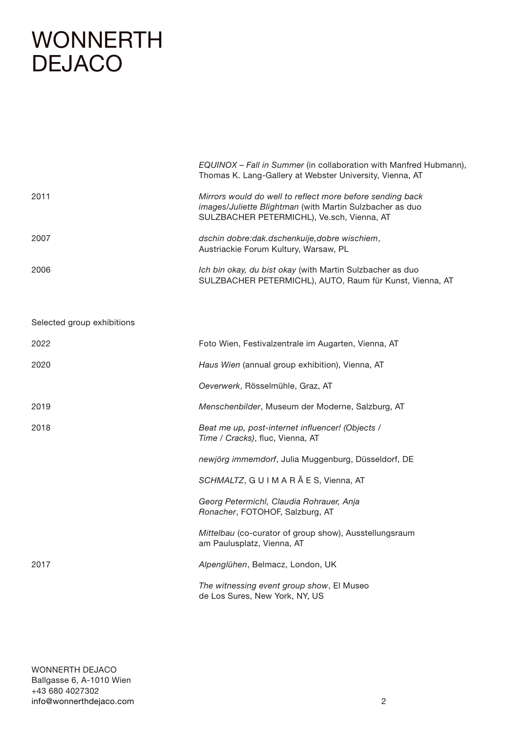Selected group exhibitions

|      | EQUINOX - Fall in Summer (in collaboration with Manfred Hubmann),<br>Thomas K. Lang-Gallery at Webster University, Vienna, AT                                              |
|------|----------------------------------------------------------------------------------------------------------------------------------------------------------------------------|
| 2011 | Mirrors would do well to reflect more before sending back<br><i>images/Juliette Blightman</i> (with Martin Sulzbacher as duo<br>SULZBACHER PETERMICHL), Ve.sch, Vienna, AT |
| 2007 | dschin dobre:dak.dschenkuije.dobre wischiem,<br>Austriackie Forum Kultury, Warsaw, PL                                                                                      |
| 2006 | Ich bin okay, du bist okay (with Martin Sulzbacher as duo<br>SULZBACHER PETERMICHL), AUTO, Raum für Kunst, Vienna, AT                                                      |

2022 Foto Wien, Festivalzentrale im Augarten, Vienna, AT 2020 *Haus Wien* (annual group exhibition), Vienna, AT *Oeverwerk*, Rösselmühle, Graz, AT 2019 *Menschenbilder*, Museum der Moderne, Salzburg, AT 2018 *Beat me up, post-internet influencer! (Objects / Time / Cracks)*, fluc, Vienna, AT *newjörg immemdorf*, Julia Muggenburg, Düsseldorf, DE *SCHMALTZ*, G U I M A R Ã E S, Vienna, AT *Georg Petermichl, Claudia Rohrauer, Anja Ronacher*, FOTOHOF, Salzburg, AT *Mittelbau* (co-curator of group show), Ausstellungsraum am Paulusplatz, Vienna, AT 2017 *Alpenglühen*, Belmacz, London, UK *The witnessing event group show*, El Museo de Los Sures, New York, NY, US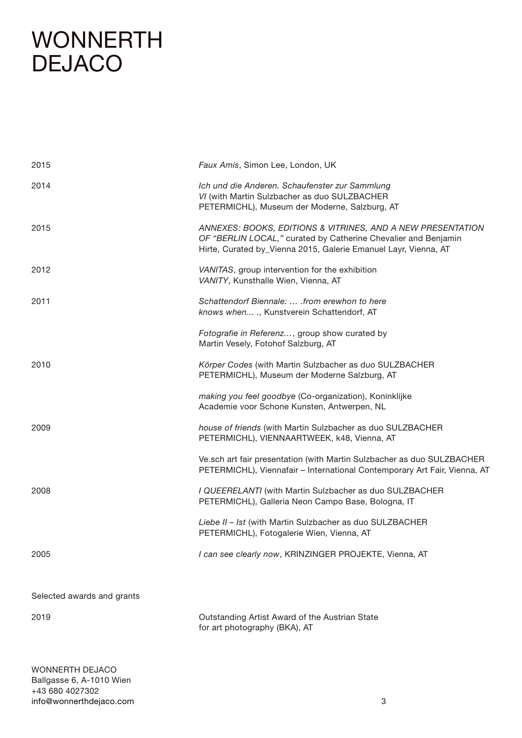| 2015                       | Faux Amis, Simon Lee, London, UK                                                                                                                                                                 |
|----------------------------|--------------------------------------------------------------------------------------------------------------------------------------------------------------------------------------------------|
| 2014                       | Ich und die Anderen. Schaufenster zur Sammlung<br>VI (with Martin Sulzbacher as duo SULZBACHER<br>PETERMICHL), Museum der Moderne, Salzburg, AT                                                  |
| 2015                       | ANNEXES: BOOKS, EDITIONS & VITRINES, AND A NEW PRESENTATION<br>OF "BERLIN LOCAL," curated by Catherine Chevalier and Benjamin<br>Hirte, Curated by_Vienna 2015, Galerie Emanuel Layr, Vienna, AT |
| 2012                       | VANITAS, group intervention for the exhibition<br>VANITY, Kunsthalle Wien, Vienna, AT                                                                                                            |
| 2011                       | Schattendorf Biennale:  . from erewhon to here<br>knows when ., Kunstverein Schattendorf, AT                                                                                                     |
|                            | Fotografie in Referenz, group show curated by<br>Martin Vesely, Fotohof Salzburg, AT                                                                                                             |
| 2010                       | Körper Codes (with Martin Sulzbacher as duo SULZBACHER<br>PETERMICHL), Museum der Moderne Salzburg, AT                                                                                           |
|                            | making you feel goodbye (Co-organization), Koninklijke<br>Academie voor Schone Kunsten, Antwerpen, NL                                                                                            |
| 2009                       | house of friends (with Martin Sulzbacher as duo SULZBACHER<br>PETERMICHL), VIENNAARTWEEK, k48, Vienna, AT                                                                                        |
|                            | Ve.sch art fair presentation (with Martin Sulzbacher as duo SULZBACHER<br>PETERMICHL), Viennafair - International Contemporary Art Fair, Vienna, AT                                              |
| 2008                       | I QUEERELANTI (with Martin Sulzbacher as duo SULZBACHER<br>PETERMICHL), Galleria Neon Campo Base, Bologna, IT                                                                                    |
|                            | Liebe II - Ist (with Martin Sulzbacher as duo SULZBACHER<br>PETERMICHL), Fotogalerie Wien, Vienna, AT                                                                                            |
| 2005                       | I can see clearly now, KRINZINGER PROJEKTE, Vienna, AT                                                                                                                                           |
| Selected awards and grants |                                                                                                                                                                                                  |
| 2019                       | Outstanding Artist Award of the Austrian State<br>for art photography (BKA), AT                                                                                                                  |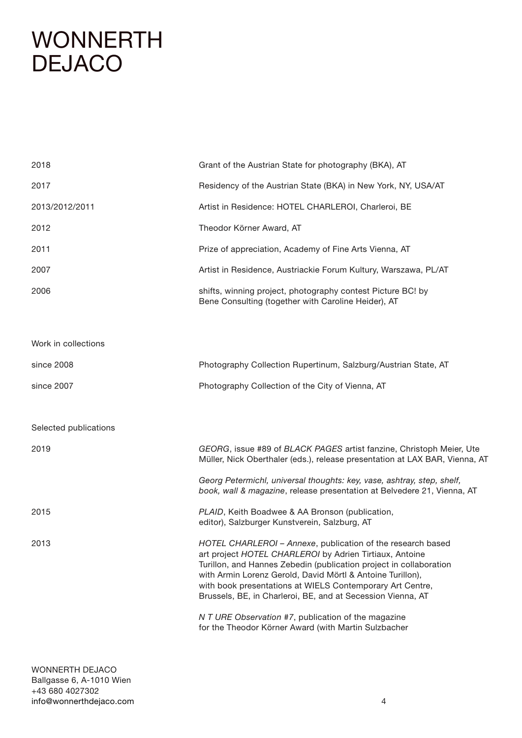| 2018                  | Grant of the Austrian State for photography (BKA), AT                                                                                                                                                                                                                                                                                                                                  |
|-----------------------|----------------------------------------------------------------------------------------------------------------------------------------------------------------------------------------------------------------------------------------------------------------------------------------------------------------------------------------------------------------------------------------|
| 2017                  | Residency of the Austrian State (BKA) in New York, NY, USA/AT                                                                                                                                                                                                                                                                                                                          |
| 2013/2012/2011        | Artist in Residence: HOTEL CHARLEROI, Charleroi, BE                                                                                                                                                                                                                                                                                                                                    |
| 2012                  | Theodor Körner Award, AT                                                                                                                                                                                                                                                                                                                                                               |
| 2011                  | Prize of appreciation, Academy of Fine Arts Vienna, AT                                                                                                                                                                                                                                                                                                                                 |
| 2007                  | Artist in Residence, Austriackie Forum Kultury, Warszawa, PL/AT                                                                                                                                                                                                                                                                                                                        |
| 2006                  | shifts, winning project, photography contest Picture BC! by<br>Bene Consulting (together with Caroline Heider), AT                                                                                                                                                                                                                                                                     |
| Work in collections   |                                                                                                                                                                                                                                                                                                                                                                                        |
| since 2008            | Photography Collection Rupertinum, Salzburg/Austrian State, AT                                                                                                                                                                                                                                                                                                                         |
| since 2007            | Photography Collection of the City of Vienna, AT                                                                                                                                                                                                                                                                                                                                       |
| Selected publications |                                                                                                                                                                                                                                                                                                                                                                                        |
| 2019                  | GEORG, issue #89 of BLACK PAGES artist fanzine, Christoph Meier, Ute<br>Müller, Nick Oberthaler (eds.), release presentation at LAX BAR, Vienna, AT                                                                                                                                                                                                                                    |
|                       | Georg Petermichl, universal thoughts: key, vase, ashtray, step, shelf,<br>book, wall & magazine, release presentation at Belvedere 21, Vienna, AT                                                                                                                                                                                                                                      |
| 2015                  | PLAID, Keith Boadwee & AA Bronson (publication,<br>editor), Salzburger Kunstverein, Salzburg, AT                                                                                                                                                                                                                                                                                       |
| 2013                  | HOTEL CHARLEROI - Annexe, publication of the research based<br>art project HOTEL CHARLEROI by Adrien Tirtiaux, Antoine<br>Turillon, and Hannes Zebedin (publication project in collaboration<br>with Armin Lorenz Gerold, David Mörtl & Antoine Turillon),<br>with book presentations at WIELS Contemporary Art Centre,<br>Brussels, BE, in Charleroi, BE, and at Secession Vienna, AT |
|                       | N T URE Observation #7, publication of the magazine<br>for the Theodor Körner Award (with Martin Sulzbacher                                                                                                                                                                                                                                                                            |